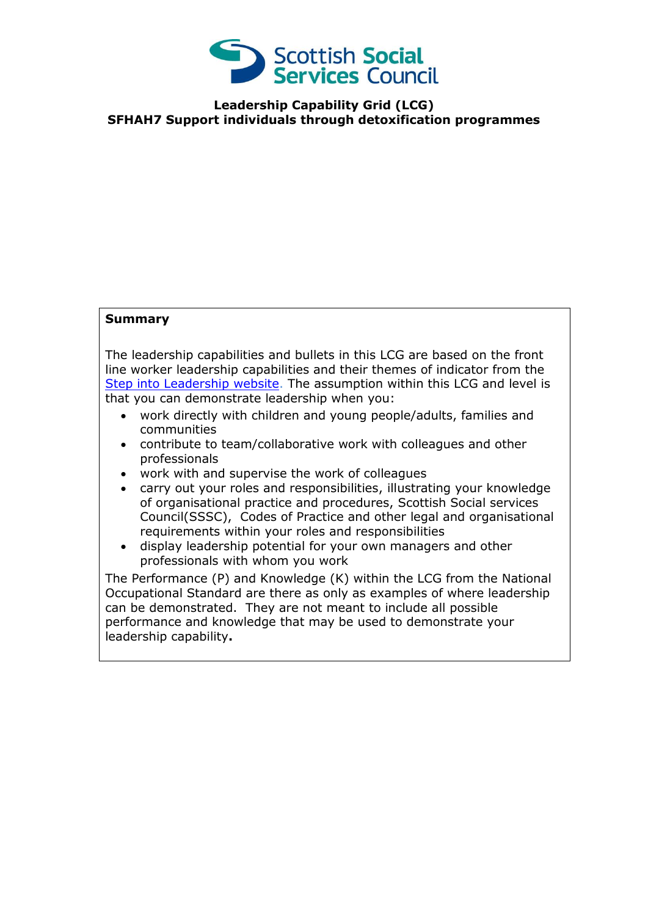

**Leadership Capability Grid (LCG) SFHAH7 Support individuals through detoxification programmes**

## **Summary**

The leadership capabilities and bullets in this LCG are based on the front line worker leadership capabilities and their themes of indicator from the [Step into Leadership website.](http://www.stepintoleadership.info/) The assumption within this LCG and level is that you can demonstrate leadership when you:

- work directly with children and young people/adults, families and communities
- contribute to team/collaborative work with colleagues and other professionals
- work with and supervise the work of colleagues
- carry out your roles and responsibilities, illustrating your knowledge of organisational practice and procedures, Scottish Social services Council(SSSC), Codes of Practice and other legal and organisational requirements within your roles and responsibilities
- display leadership potential for your own managers and other professionals with whom you work

The Performance (P) and Knowledge (K) within the LCG from the National Occupational Standard are there as only as examples of where leadership can be demonstrated. They are not meant to include all possible performance and knowledge that may be used to demonstrate your leadership capability**.**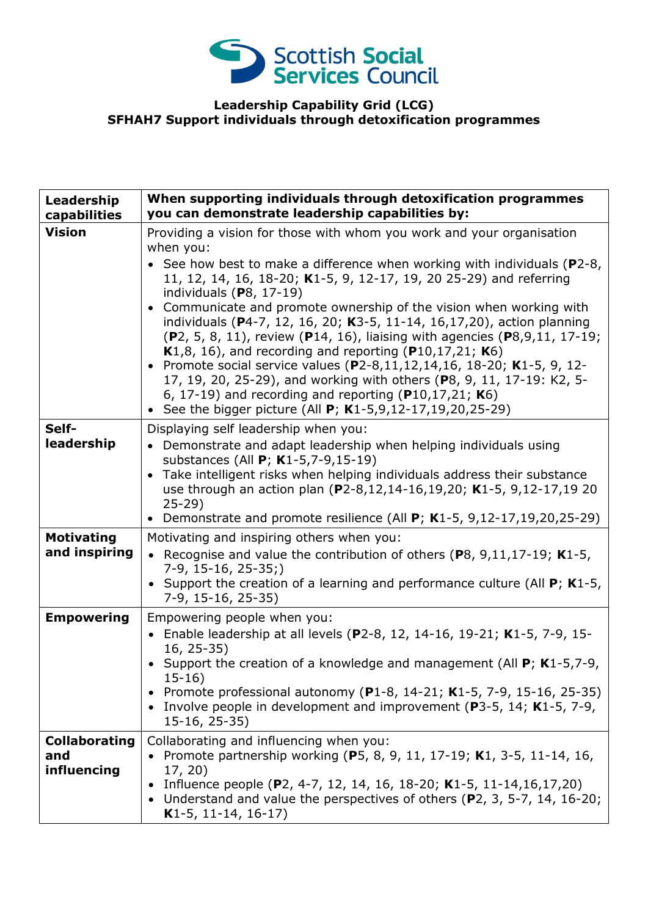

## **Leadership Capability Grid (LCG) SFHAH7 Support individuals through detoxification programmes**

| Leadership<br>capabilities                 | When supporting individuals through detoxification programmes<br>you can demonstrate leadership capabilities by:                                                                                                                                                                                                                                                                                                                                                                                                                                                                                                                                                                                                                                                                                                                                                    |
|--------------------------------------------|---------------------------------------------------------------------------------------------------------------------------------------------------------------------------------------------------------------------------------------------------------------------------------------------------------------------------------------------------------------------------------------------------------------------------------------------------------------------------------------------------------------------------------------------------------------------------------------------------------------------------------------------------------------------------------------------------------------------------------------------------------------------------------------------------------------------------------------------------------------------|
| <b>Vision</b>                              | Providing a vision for those with whom you work and your organisation<br>when you:<br>• See how best to make a difference when working with individuals ( $P2-8$ ,<br>11, 12, 14, 16, 18-20; K1-5, 9, 12-17, 19, 20 25-29) and referring<br>individuals $(P8, 17-19)$<br>Communicate and promote ownership of the vision when working with<br>$\bullet$<br>individuals (P4-7, 12, 16, 20; K3-5, 11-14, 16,17,20), action planning<br>(P2, 5, 8, 11), review (P14, 16), liaising with agencies (P8, 9, 11, 17-19;<br><b>K</b> 1,8, 16), and recording and reporting (P10,17,21; K6)<br>• Promote social service values (P2-8,11,12,14,16, 18-20; K1-5, 9, 12-<br>17, 19, 20, 25-29), and working with others (P8, 9, 11, 17-19: K2, 5-<br>6, 17-19) and recording and reporting ( $P10,17,21$ ; K6)<br>• See the bigger picture (All $P$ ; K1-5,9,12-17,19,20,25-29) |
| Self-<br>leadership                        | Displaying self leadership when you:<br>• Demonstrate and adapt leadership when helping individuals using<br>substances (All P; K1-5,7-9,15-19)<br>Take intelligent risks when helping individuals address their substance<br>$\bullet$<br>use through an action plan (P2-8,12,14-16,19,20; K1-5, 9,12-17,19 20<br>$25 - 29$<br>Demonstrate and promote resilience (All $P$ ; K1-5, 9,12-17,19,20,25-29)<br>$\bullet$                                                                                                                                                                                                                                                                                                                                                                                                                                               |
| <b>Motivating</b><br>and inspiring         | Motivating and inspiring others when you:<br>• Recognise and value the contribution of others (P8, 9,11,17-19; K1-5,<br>$7-9, 15-16, 25-35;$<br>• Support the creation of a learning and performance culture (All $P$ ; K1-5,<br>7-9, 15-16, 25-35)                                                                                                                                                                                                                                                                                                                                                                                                                                                                                                                                                                                                                 |
| <b>Empowering</b>                          | Empowering people when you:<br>• Enable leadership at all levels (P2-8, 12, 14-16, 19-21; K1-5, 7-9, 15-<br>$16, 25-35)$<br>• Support the creation of a knowledge and management (All $P$ ; K1-5,7-9,<br>$15-16)$<br>• Promote professional autonomy (P1-8, 14-21; K1-5, 7-9, 15-16, 25-35)<br>• Involve people in development and improvement (P3-5, 14; K1-5, 7-9,<br>$15-16, 25-35)$                                                                                                                                                                                                                                                                                                                                                                                                                                                                             |
| <b>Collaborating</b><br>and<br>influencing | Collaborating and influencing when you:<br>• Promote partnership working (P5, 8, 9, 11, 17-19; K1, 3-5, 11-14, 16,<br>17, 20)<br>Influence people (P2, 4-7, 12, 14, 16, 18-20; K1-5, 11-14, 16, 17, 20)<br>Understand and value the perspectives of others (P2, 3, 5-7, 14, 16-20;<br>K1-5, 11-14, 16-17)                                                                                                                                                                                                                                                                                                                                                                                                                                                                                                                                                           |